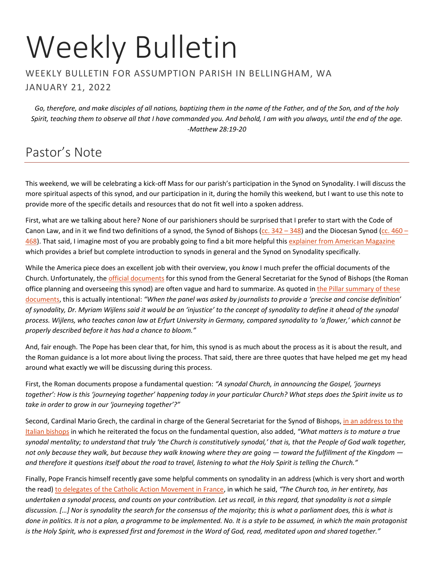# Weekly Bulletin

#### WEEKLY BULLETIN FOR ASSUMPTION PARISH IN BELLINGHAM, WA JANUARY 21, 2022

*Go, therefore, and make disciples of all nations, baptizing them in the name of the Father, and of the Son, and of the holy Spirit, teaching them to observe all that I have commanded you. And behold, I am with you always, until the end of the age. -Matthew 28:19-20*

# Pastor's Note

This weekend, we will be celebrating a kick-off Mass for our parish's participation in the Synod on Synodality. I will discuss the more spiritual aspects of this synod, and our participation in it, during the homily this weekend, but I want to use this note to provide more of the specific details and resources that do not fit well into a spoken address.

First, what are we talking about here? None of our parishioners should be surprised that I prefer to start with the Code of Canon Law, and in it we find two definitions of a synod, the Synod of Bishops (cc.  $342 - 348$ ) and the Diocesan Synod (cc.  $460 -$ [468\)](http://www.intratext.com/IXT/ENG0017/__P1L.HTM). That said, I imagine most of you are probably going to find a bit more helpful this [explainer from American Magazine](https://www.americamagazine.org/faith/2021/10/08/what-is-a-synod) which provides a brief but complete introduction to synods in general and the Synod on Synodality specifically.

While the America piece does an excellent job with their overview, you *know* I much prefer the official documents of the Church. Unfortunately, the official [documents](https://www.synod.va/en.html) for this synod from the General Secretariat for the Synod of Bishops (the Roman office planning and overseeing this synod) are often vague and hard to summarize. As quoted i[n the Pillar summary of these](https://www.pillarcatholic.com/p/synod-guidelines-urge-living-synodality)  [documents,](https://www.pillarcatholic.com/p/synod-guidelines-urge-living-synodality) this is actually intentional: *"When the panel was asked by journalists to provide a 'precise and concise definition' of synodality, Dr. Myriam Wijlens said it would be an 'injustice' to the concept of synodality to define it ahead of the synodal process. Wijlens, who teaches canon law at Erfurt University in Germany, compared synodality to 'a flower,' which cannot be properly described before it has had a chance to bloom."*

And, fair enough. The Pope has been clear that, for him, this synod is as much about the process as it is about the result, and the Roman guidance is a lot more about living the process. That said, there are three quotes that have helped me get my head around what exactly we will be discussing during this process.

First, the Roman documents propose a fundamental question: *"A synodal Church, in announcing the Gospel, 'journeys together': How is this 'journeying together' happening today in your particular Church? What steps does the Spirit invite us to take in order to grow in our 'journeying together'?"*

Second, Cardinal Mario Grech, the cardinal in charge of the General Secretariat for the Synod of Bishops, [in an address to the](https://www.catholicnewsagency.com/news/249694/synod-on-synodality-organizers-want-local-stage-to-focus-on-one-fundamental-question)  [Italian bishops](https://www.catholicnewsagency.com/news/249694/synod-on-synodality-organizers-want-local-stage-to-focus-on-one-fundamental-question) in which he reiterated the focus on the fundamental question, also added, *"What matters is to mature a true synodal mentality; to understand that truly 'the Church is constitutively synodal,' that is, that the People of God walk together, not only because they walk, but because they walk knowing where they are going — toward the fulfillment of the Kingdom and therefore it questions itself about the road to travel, listening to what the Holy Spirit is telling the Church."*

Finally, Pope Francis himself recently gave some helpful comments on synodality in an address (which is very short and worth the read[\) to delegates of the Catholic Action Movement in France,](https://www.vatican.va/content/francesco/en/speeches/2022/january/documents/20220113-azionecattolica-francia.html) in which he said, *"The Church too, in her entirety, has undertaken a synodal process, and counts on your contribution. Let us recall, in this regard, that synodality is not a simple discussion. […] Nor is synodality the search for the consensus of the majority; this is what a parliament does, this is what is done in politics. It is not a plan, a programme to be implemented. No. It is a style to be assumed, in which the main protagonist is the Holy Spirit, who is expressed first and foremost in the Word of God, read, meditated upon and shared together."*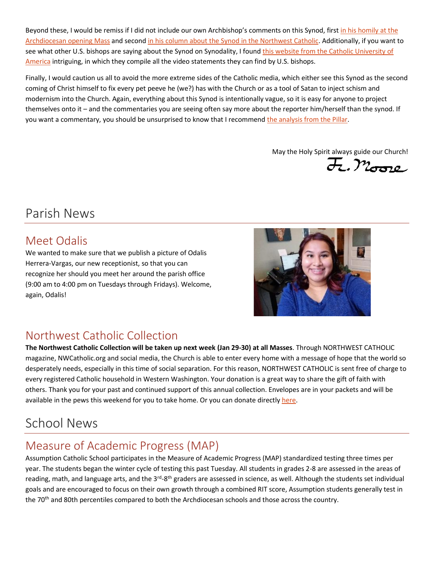Beyond these, I would be remiss if I did not include our own Archbishop's comments on this Synod, first in his homily at the [Archdiocesan opening Mass](https://www.archbishopetienne.com/synod-sunday-in-seattle) and secon[d in his column about the Synod in the Northwest Catholic.](https://nwcatholic.org/voices/paul-d-etienne/an-invitation-to-journey-together) Additionally, if you want to see what other U.S. bishops are saying about the Synod on Synodality, I foun[d this website from the Catholic University of](https://catholicproject.catholic.edu/synodality/)  [America](https://catholicproject.catholic.edu/synodality/) intriguing, in which they compile all the video statements they can find by U.S. bishops.

Finally, I would caution us all to avoid the more extreme sides of the Catholic media, which either see this Synod as the second coming of Christ himself to fix every pet peeve he (we?) has with the Church or as a tool of Satan to inject schism and modernism into the Church. Again, everything about this Synod is intentionally vague, so it is easy for anyone to project themselves onto it – and the commentaries you are seeing often say more about the reporter him/herself than the synod. If you want a commentary, you should be unsurprised to know that I recommen[d the analysis from the Pillar.](https://www.pillarcatholic.com/p/the-synod-on-synodality-could-be)

May the Holy Spirit always guide our Church!

F. Moore

# Parish News

## Meet Odalis

We wanted to make sure that we publish a picture of Odalis Herrera-Vargas, our new receptionist, so that you can recognize her should you meet her around the parish office (9:00 am to 4:00 pm on Tuesdays through Fridays). Welcome, again, Odalis!



## Northwest Catholic Collection

**The Northwest Catholic Collection will be taken up next week (Jan 29-30) at all Masses**. Through NORTHWEST CATHOLIC magazine, NWCatholic.org and social media, the Church is able to enter every home with a message of hope that the world so desperately needs, especially in this time of social separation. For this reason, NORTHWEST CATHOLIC is sent free of charge to every registered Catholic household in Western Washington. Your donation is a great way to share the gift of faith with others. Thank you for your past and continued support of this annual collection. Envelopes are in your packets and will be available in the pews this weekend for you to take home. Or you can donate directl[y here.](https://donate.seattlearchdiocese.org/nwc-donation/)

# School News

## Measure of Academic Progress (MAP)

Assumption Catholic School participates in the Measure of Academic Progress (MAP) standardized testing three times per year. The students began the winter cycle of testing this past Tuesday. All students in grades 2-8 are assessed in the areas of reading, math, and language arts, and the 3<sup>rd</sup>-8<sup>th</sup> graders are assessed in science, as well. Although the students set individual goals and are encouraged to focus on their own growth through a combined RIT score, Assumption students generally test in the 70<sup>th</sup> and 80th percentiles compared to both the Archdiocesan schools and those across the country.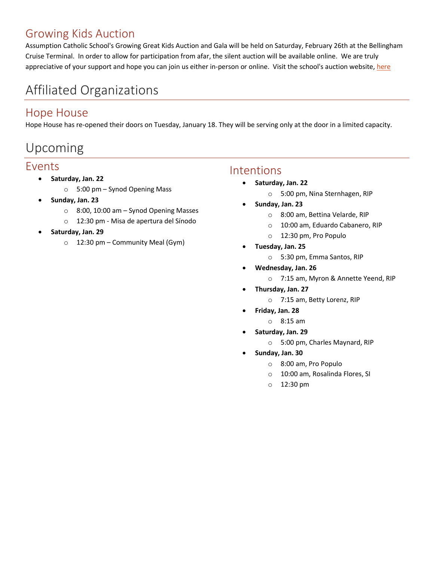## Growing Kids Auction

Assumption Catholic School's Growing Great Kids Auction and Gala will be held on Saturday, February 26th at the Bellingham Cruise Terminal. In order to allow for participation from afar, the silent auction will be available online. We are truly appreciative of your support and hope you can join us either in-person or online. Visit the school's auction website[, here](https://school.assumption.org/auction/)

# Affiliated Organizations

### Hope House

Hope House has re-opened their doors on Tuesday, January 18. They will be serving only at the door in a limited capacity.

# Upcoming

## Events

- **Saturday, Jan. 22**
	- o 5:00 pm Synod Opening Mass
- **Sunday, Jan. 23**
	- o 8:00, 10:00 am Synod Opening Masses
	- o 12:30 pm Misa de apertura del Sínodo
- **Saturday, Jan. 29**
	- $\circ$  12:30 pm Community Meal (Gym)

#### Intentions

- **Saturday, Jan. 22**
	- o 5:00 pm, Nina Sternhagen, RIP
- **Sunday, Jan. 23**
	- o 8:00 am, Bettina Velarde, RIP
	- o 10:00 am, Eduardo Cabanero, RIP
	- o 12:30 pm, Pro Populo
- **Tuesday, Jan. 25**
	- o 5:30 pm, Emma Santos, RIP
- **Wednesday, Jan. 26**
	- o 7:15 am, Myron & Annette Yeend, RIP
- **Thursday, Jan. 27**
	- o 7:15 am, Betty Lorenz, RIP
- **Friday, Jan. 28**
	- o 8:15 am
- **Saturday, Jan. 29**
	- o 5:00 pm, Charles Maynard, RIP
- **Sunday, Jan. 30**
	- o 8:00 am, Pro Populo
	- o 10:00 am, Rosalinda Flores, SI
	- o 12:30 pm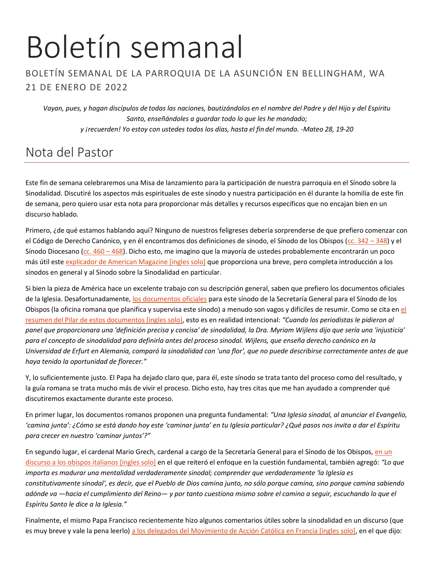# Boletín semanal

#### BOLETÍN SEMANAL DE LA PARROQUIA DE LA ASUNCIÓN EN BELLINGHAM, WA 21 DE ENERO DE 2022

*Vayan, pues, y hagan discípulos de todas las naciones, bautizándolos en el nombre del Padre y del Hijo y del Espíritu Santo, enseñándoles a guardar todo lo que les he mandado; y ¡recuerden! Yo estoy con ustedes todos los días, hasta el fin del mundo. -Mateo 28, 19-20*

# Nota del Pastor

Este fin de semana celebraremos una Misa de lanzamiento para la participación de nuestra parroquia en el Sínodo sobre la Sinodalidad. Discutiré los aspectos más espirituales de este sínodo y nuestra participación en él durante la homilía de este fin de semana, pero quiero usar esta nota para proporcionar más detalles y recursos específicos que no encajan bien en un discurso hablado.

Primero, ¿de qué estamos hablando aquí? Ninguno de nuestros feligreses debería sorprenderse de que prefiero comenzar con el Código de Derecho Canónico, y en él encontramos dos definiciones de sínodo, el Sínodo de los Obispos [\(cc. 342](https://www.vatican.va/archive/cod-iuris-canonici/esp/documents/cic_libro2_cann342-348_sp.html) – 348) y el Sínodo Diocesano [\(cc. 460](https://www.vatican.va/archive/cod-iuris-canonici/esp/documents/cic_libro2_cann460-468_sp.html) – 468). Dicho esto, me imagino que la mayoría de ustedes probablemente encontrarán un poco más útil est[e explicador de American Magazine \[ingles solo\]](https://www.americamagazine.org/faith/2021/10/08/what-is-a-synod) que proporciona una breve, pero completa introducción a los sínodos en general y al Sínodo sobre la Sinodalidad en particular.

Si bien la pieza de América hace un excelente trabajo con su descripción general, saben que prefiero los documentos oficiales de la Iglesia. Desafortunadamente, [los documentos oficiales](https://www.synod.va/es.html) para este sínodo de la Secretaría General para el Sínodo de los Obispos (la oficina romana que planifica y supervisa este sínodo) a menudo son vagos y difíciles de resumir. Como se cita en [el](https://www.pillarcatholic.com/p/synod-guidelines-urge-living-synodality)  [resumen del Pilar de estos documentos \[ingles solo\],](https://www.pillarcatholic.com/p/synod-guidelines-urge-living-synodality) esto es en realidad intencional: *"Cuando los periodistas le pidieron al panel que proporcionara una 'definición precisa y concisa' de sinodalidad, la Dra. Myriam Wijlens dijo que sería una 'injusticia' para el concepto de sinodalidad para definirla antes del proceso sinodal. Wijlens, que enseña derecho canónico en la Universidad de Erfurt en Alemania, comparó la sinodalidad con 'una flor', que no puede describirse correctamente antes de que haya tenido la oportunidad de florecer."*

Y, lo suficientemente justo. El Papa ha dejado claro que, para él, este sínodo se trata tanto del proceso como del resultado, y la guía romana se trata mucho más de vivir el proceso. Dicho esto, hay tres citas que me han ayudado a comprender qué discutiremos exactamente durante este proceso.

En primer lugar, los documentos romanos proponen una pregunta fundamental: *"Una Iglesia sinodal, al anunciar el Evangelio, 'camina junta': ¿Cómo se está dando hoy este 'caminar junta' en tu Iglesia particular? ¿Qué pasos nos invita a dar el Espíritu para crecer en nuestro 'caminar juntos'?"*

En segundo lugar, el cardenal Mario Grech, cardenal a cargo de la Secretaría General para el Sínodo de los Obispos, en un [discurso a los obispos italianos \[ingles solo\]](https://www.catholicnewsagency.com/news/249694/synod-on-synodality-organizers-want-local-stage-to-focus-on-one-fundamental-question) en el que reiteró el enfoque en la cuestión fundamental, también agregó: *"Lo que importa es madurar una mentalidad verdaderamente sinodal; comprender que verdaderamente 'la Iglesia es constitutivamente sinodal', es decir, que el Pueblo de Dios camina junto, no sólo porque camina, sino porque camina sabiendo adónde va —hacia el cumplimiento del Reino— y por tanto cuestiona mismo sobre el camino a seguir, escuchando lo que el Espíritu Santo le dice a la Iglesia."*

Finalmente, el mismo Papa Francisco recientemente hizo algunos comentarios útiles sobre la sinodalidad en un discurso (que es muy breve y vale la pena leerlo) [a los delegados del Movimiento de Acción Católica en Francia \[ingles solo\],](https://www.vatican.va/content/francesco/en/speeches/2022/january/documents/20220113-azionecattolica-francia.html) en el que dijo: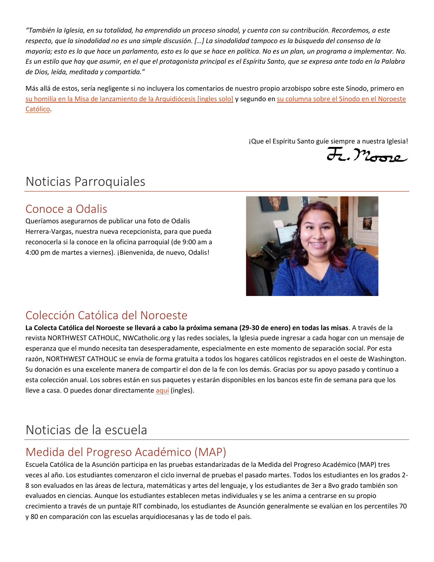*"También la Iglesia, en su totalidad, ha emprendido un proceso sinodal, y cuenta con su contribución. Recordemos, a este respecto, que la sinodalidad no es una simple discusión. […] La sinodalidad tampoco es la búsqueda del consenso de la mayoría; esto es lo que hace un parlamento, esto es lo que se hace en política. No es un plan, un programa a implementar. No. Es un estilo que hay que asumir, en el que el protagonista principal es el Espíritu Santo, que se expresa ante todo en la Palabra de Dios, leída, meditada y compartida."*

Más allá de estos, sería negligente si no incluyera los comentarios de nuestro propio arzobispo sobre este Sínodo, primero en [su homilía en la Misa de lanzamiento de la Arquidiócesis \[ingles solo\]](https://www.archbishopetienne.com/synod-sunday-in-seattle) y segundo en su columna sobre el Sínodo en el Noroeste [Católico.](https://nwcatholic.org/news/arzobispo-paul-d-etienne-f2a2bda9-f5e7-4996-80ea-ce083c7126d7/una-invitacion-a-caminar-juntos)

iQue el Espíritu Santo guíe siempre a nuestra Iglesia!<br>Caraza

## Noticias Parroquiales

### Conoce a Odalis

Queríamos asegurarnos de publicar una foto de Odalis Herrera-Vargas, nuestra nueva recepcionista, para que pueda reconocerla si la conoce en la oficina parroquial (de 9:00 am a 4:00 pm de martes a viernes). ¡Bienvenida, de nuevo, Odalis!



## Colección Católica del Noroeste

**La Colecta Católica del Noroeste se llevará a cabo la próxima semana (29-30 de enero) en todas las misas**. A través de la revista NORTHWEST CATHOLIC, NWCatholic.org y las redes sociales, la Iglesia puede ingresar a cada hogar con un mensaje de esperanza que el mundo necesita tan desesperadamente, especialmente en este momento de separación social. Por esta razón, NORTHWEST CATHOLIC se envía de forma gratuita a todos los hogares católicos registrados en el oeste de Washington. Su donación es una excelente manera de compartir el don de la fe con los demás. Gracias por su apoyo pasado y continuo a esta colección anual. Los sobres están en sus paquetes y estarán disponibles en los bancos este fin de semana para que los lleve a casa. O puedes donar directamente [aquí](https://donate.seattlearchdiocese.org/nwc-donation/) (ingles).

# Noticias de la escuela

## Medida del Progreso Académico (MAP)

Escuela Católica de la Asunción participa en las pruebas estandarizadas de la Medida del Progreso Académico (MAP) tres veces al año. Los estudiantes comenzaron el ciclo invernal de pruebas el pasado martes. Todos los estudiantes en los grados 2- 8 son evaluados en las áreas de lectura, matemáticas y artes del lenguaje, y los estudiantes de 3er a 8vo grado también son evaluados en ciencias. Aunque los estudiantes establecen metas individuales y se les anima a centrarse en su propio crecimiento a través de un puntaje RIT combinado, los estudiantes de Asunción generalmente se evalúan en los percentiles 70 y 80 en comparación con las escuelas arquidiocesanas y las de todo el país.